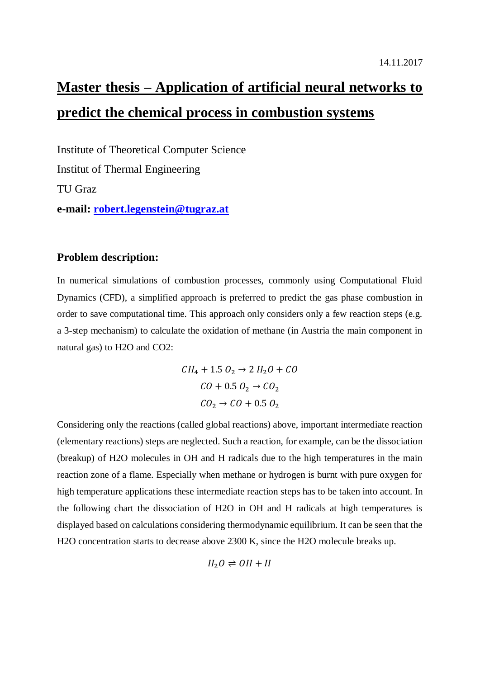# **Master thesis – Application of artificial neural networks to predict the chemical process in combustion systems**

Institute of Theoretical Computer Science Institut of Thermal Engineering TU Graz **e-mail: [robert.legenstein@tugraz.at](mailto:robert.legenstein@tugraz.at)**

# **Problem description:**

In numerical simulations of combustion processes, commonly using Computational Fluid Dynamics (CFD), a simplified approach is preferred to predict the gas phase combustion in order to save computational time. This approach only considers only a few reaction steps (e.g. a 3-step mechanism) to calculate the oxidation of methane (in Austria the main component in natural gas) to H2O and CO2:

> $CH_4 + 1.5 O_2 \rightarrow 2 H_2 O + CO$  $CO + 0.5 O_2 \rightarrow CO_2$  $CO_2 \rightarrow CO + 0.5 O_2$

Considering only the reactions (called global reactions) above, important intermediate reaction (elementary reactions) steps are neglected. Such a reaction, for example, can be the dissociation (breakup) of H2O molecules in OH and H radicals due to the high temperatures in the main reaction zone of a flame. Especially when methane or hydrogen is burnt with pure oxygen for high temperature applications these intermediate reaction steps has to be taken into account. In the following chart the dissociation of H2O in OH and H radicals at high temperatures is displayed based on calculations considering thermodynamic equilibrium. It can be seen that the H2O concentration starts to decrease above 2300 K, since the H2O molecule breaks up.

$$
H_2O \rightleftharpoons OH + H
$$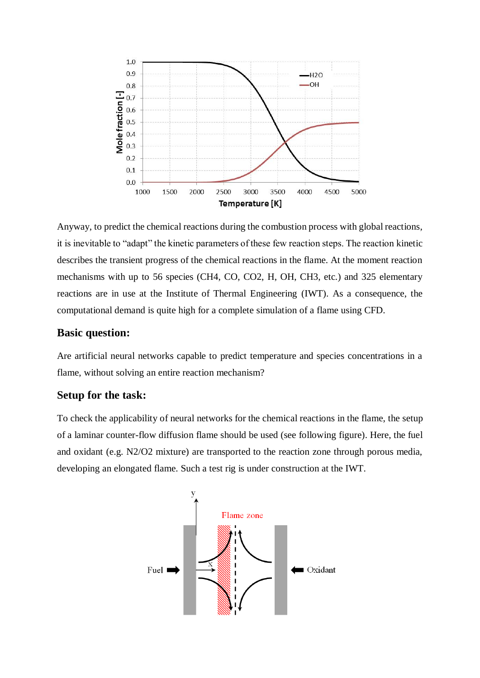

Anyway, to predict the chemical reactions during the combustion process with global reactions, it is inevitable to "adapt" the kinetic parameters of these few reaction steps. The reaction kinetic describes the transient progress of the chemical reactions in the flame. At the moment reaction mechanisms with up to 56 species (CH4, CO, CO2, H, OH, CH3, etc.) and 325 elementary reactions are in use at the Institute of Thermal Engineering (IWT). As a consequence, the computational demand is quite high for a complete simulation of a flame using CFD.

# **Basic question:**

Are artificial neural networks capable to predict temperature and species concentrations in a flame, without solving an entire reaction mechanism?

# **Setup for the task:**

To check the applicability of neural networks for the chemical reactions in the flame, the setup of a laminar counter-flow diffusion flame should be used (see following figure). Here, the fuel and oxidant (e.g. N2/O2 mixture) are transported to the reaction zone through porous media, developing an elongated flame. Such a test rig is under construction at the IWT.